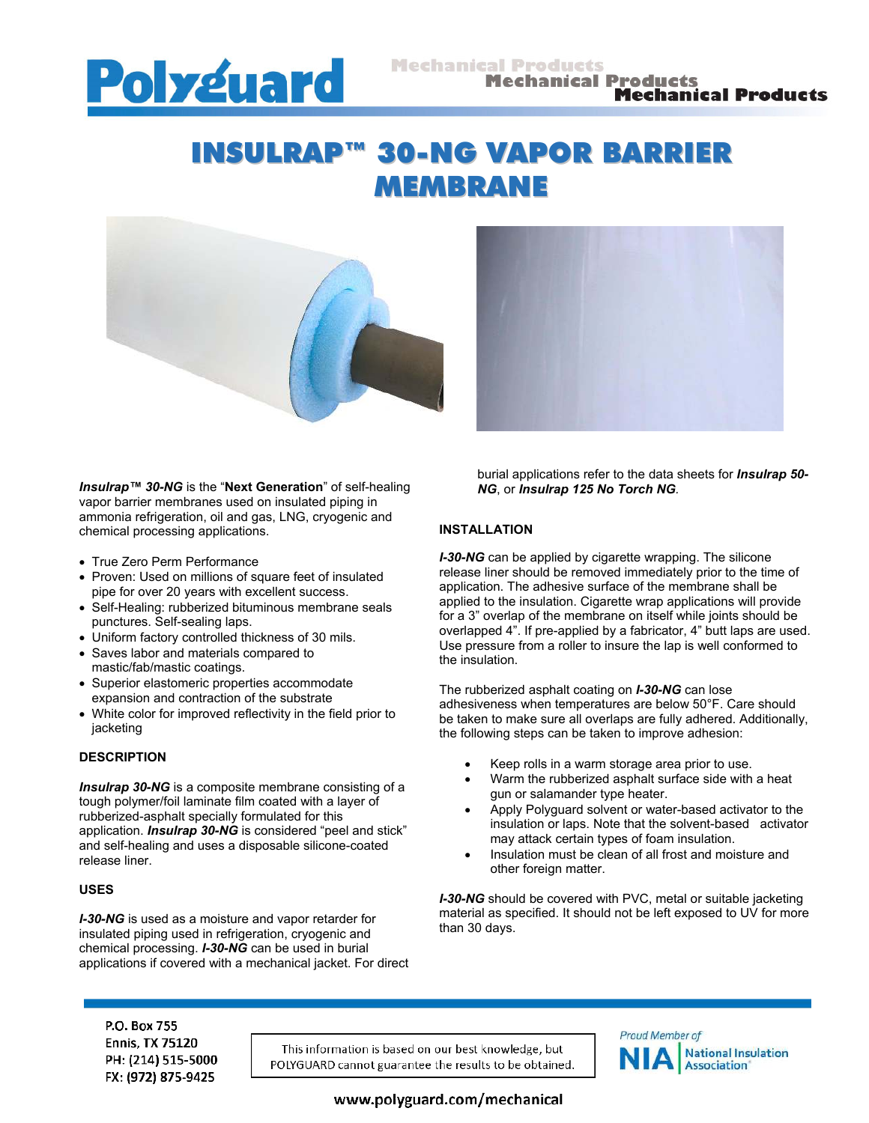

# INSULRAP™ 30-NG VAPOR BARRIER MEMBRANE



*Insulrap™ 30-NG* is the "**Next Generation**" of self-healing vapor barrier membranes used on insulated piping in ammonia refrigeration, oil and gas, LNG, cryogenic and chemical processing applications.

- True Zero Perm Performance
- Proven: Used on millions of square feet of insulated pipe for over 20 years with excellent success.
- Self-Healing: rubberized bituminous membrane seals punctures. Self-sealing laps.
- Uniform factory controlled thickness of 30 mils.
- Saves labor and materials compared to mastic/fab/mastic coatings.
- Superior elastomeric properties accommodate expansion and contraction of the substrate
- White color for improved reflectivity in the field prior to jacketing

# **DESCRIPTION**

**Insulrap 30-NG** is a composite membrane consisting of a tough polymer/foil laminate film coated with a layer of rubberized-asphalt specially formulated for this application. *Insulrap 30-NG* is considered "peel and stick" and self-healing and uses a disposable silicone-coated release liner.

#### **USES**

*I-30-NG* is used as a moisture and vapor retarder for insulated piping used in refrigeration, cryogenic and chemical processing. *I-30-NG* can be used in burial applications if covered with a mechanical jacket. For direct burial applications refer to the data sheets for *Insulrap 50- NG*, or *Insulrap 125 No Torch NG.*

### **INSTALLATION**

*I-30-NG* can be applied by cigarette wrapping. The silicone release liner should be removed immediately prior to the time of application. The adhesive surface of the membrane shall be applied to the insulation. Cigarette wrap applications will provide for a 3" overlap of the membrane on itself while joints should be overlapped 4". If pre-applied by a fabricator, 4" butt laps are used. Use pressure from a roller to insure the lap is well conformed to the insulation.

The rubberized asphalt coating on *I-30-NG* can lose adhesiveness when temperatures are below 50°F. Care should be taken to make sure all overlaps are fully adhered. Additionally, the following steps can be taken to improve adhesion:

- Keep rolls in a warm storage area prior to use.
- Warm the rubberized asphalt surface side with a heat gun or salamander type heater.
- Apply Polyguard solvent or water-based activator to the insulation or laps. Note that the solvent-based activator may attack certain types of foam insulation.
- Insulation must be clean of all frost and moisture and other foreign matter.

*I-30-NG* should be covered with PVC, metal or suitable jacketing material as specified. It should not be left exposed to UV for more than 30 days.

P.O. Box 755 **Ennis, TX 75120** PH: (214) 515-5000 FX: (972) 875-9425

This information is based on our best knowledge, but POLYGUARD cannot guarantee the results to be obtained.



www.polyguard.com/mechanical